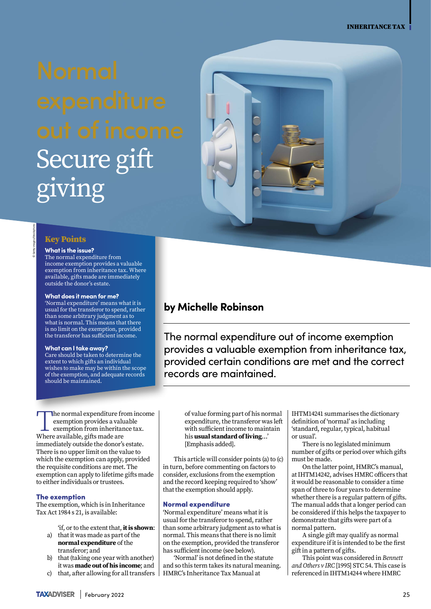# Secure gift giving

### **Key Points**

© Getty images/iStockphoto

### **What is the issue?**

The normal expenditure from income exemption provides a valuable exemption from inheritance tax. Where available, gifts made are immediately outside the donor's estate.

### **What does it mean for me?**

'Normal expenditure' means what it is usual for the transferor to spend, rather than some arbitrary judgment as to what is normal. This means that there is no limit on the exemption, provided the transferor has sufficient income.

### **What can I take away?**

Care should be taken to determine the extent to which gifts an individual wishes to make may be within the scope of the exemption, and adequate records should be maintained.

The normal expenditure from income exemption provides a valuable exemption from inheritance tax. Where available, gifts made are immediately outside the donor's estate. There is no upper limit on the value to which the exemption can apply, provided the requisite conditions are met. The exemption can apply to lifetime gifts made

### The exemption

The exemption, which is in Inheritance Tax Act  $1984 s 21$ , is available:

to either individuals or trustees.

'if, or to the extent that, **it is shown**:

- a) that it was made as part of the **normal expenditure** of the transferor; and
- b) that (taking one year with another) it was **made out of his income**; and
- c) that, after allowing for all transfers  $\vert$

## **by Michelle Robinson**

The normal expenditure out of income exemption provides a valuable exemption from inheritance tax, provided certain conditions are met and the correct records are maintained.

of value forming part of his normal expenditure, the transferor was left with sufficient income to maintain his **usual standard of living**…' [Emphasis added].

This article will consider points (a) to (c) in turn, before commenting on factors to consider, exclusions from the exemption and the record keeping required to 'show' that the exemption should apply.

### Normal expenditure

'Normal expenditure' means what it is usual for the transferor to spend, rather than some arbitrary judgment as to what is normal. This means that there is no limit on the exemption, provided the transferor has sufficient income (see below).

'Normal' is not defined in the statute and so this term takes its natural meaning. HMRC's Inheritance Tax Manual at

IHTM14241 summarises the dictionary definition of 'normal' as including 'standard, regular, typical, habitual or usual'.

There is no legislated minimum number of gifts or period over which gifts must be made.

On the latter point, HMRC's manual, atIHTM14242, advises HMRC officers that it would be reasonable to consider a time span of three to four years to determine whether there is a regular pattern of gifts. The manual adds that a longer period can be considered if this helps the taxpayer to demonstrate that gifts were part of a normal pattern.

A single gift may qualify as normal expenditure if it is intended to be the first gift in a pattern of gifts.

This point was considered in *Bennett and Others v IRC* [1995] STC 54. This case is referenced in IHTM14244 where HMRC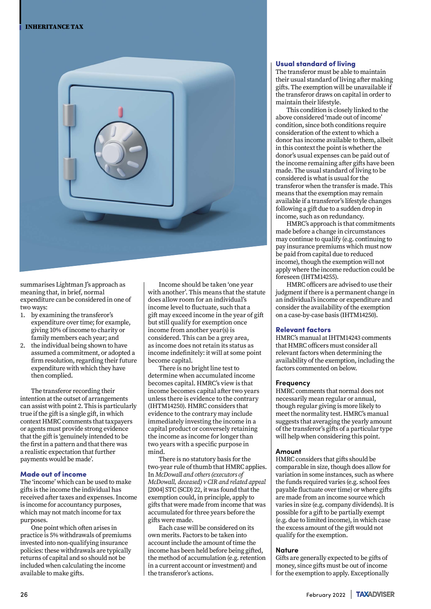

summarises Lightman J's approach as meaning that, in brief, normal expenditure can be considered in one of two ways:

- 1. by examining the transferor's expenditure over time; for example, giving 10% of income to charity or family members each year; and
- 2. the individual being shown to have assumed a commitment, or adopted a firm resolution, regarding their future expenditure with which they have then complied.

The transferor recording their intention at the outset of arrangements can assist with point 2. This is particularly true if the gift is a single gift, in which context HMRC comments that taxpayers or agents must provide strong evidence that the gift is 'genuinely intended to be the first in a pattern and that there was a realistic expectation that further payments would be made'.

### Made out of income

The 'income' which can be used to make gifts is the income the individual has received after taxes and expenses. Income is income for accountancy purposes, which may not match income for tax purposes.

One point which often arises in practice is 5% withdrawals of premiums invested into non-qualifying insurance policies: these withdrawals are typically returns of capital and so should not be included when calculating the income available to make gifts.

Income should be taken 'one year with another'. This means that the statute does allow room for an individual's income level to fluctuate, such that a gift may exceed income in the year of gift but still qualify for exemption once income from another year(s) is considered. This can be a grey area, as income does not retain its status as income indefinitely: it will at some point become capital.

There is no bright line test to determine when accumulated income becomes capital. HMRC's view is that income becomes capital after two years unless there is evidence to the contrary (IHTM14250). HMRC considers that evidence to the contrary may include immediately investing the income in a capital product or conversely retaining the income as income for longer than two years with a specific purpose in mind.

There is no statutory basis for the two-year rule of thumb that HMRC applies. In *McDowall and others (executors of McDowall, deceased) v CIR and related appeal*  [2004] STC (SCD) 22, it was found that the exemption could, in principle, apply to gifts that were made from income that was accumulated for three years before the gifts were made.

Each case will be considered on its own merits. Factors to be taken into account include the amount of time the income has been held before being gifted, the method of accumulation (e.g. retention in a current account or investment) and the transferor's actions.

### Usual standard of living

The transferor must be able to maintain their usual standard of living after making gifts. The exemption will be unavailable if the transferor draws on capital in order to maintain their lifestyle.

This condition is closely linked to the above considered 'made out of income' condition, since both conditions require consideration of the extent to which a donor has income available to them, albeit in this context the point is whether the donor's usual expenses can be paid out of the income remaining after gifts have been made. The usual standard of living to be considered is what is usual for the transferor when the transfer is made. This means that the exemption may remain available if a transferor's lifestyle changes following a gift due to a sudden drop in income, such as on redundancy.

HMRC's approach is that commitments made before a change in circumstances may continue to qualify (e.g. continuing to pay insurance premiums which must now be paid from capital due to reduced income), though the exemption will not apply where the income reduction could be foreseen (IHTM14255).

HMRC officers are advised to use their judgment if there is a permanent change in an individual's income or expenditure and consider the availability of the exemption on a case-by-case basis (IHTM14250).

### Relevant factors

HMRC's manual at IHTM14243 comments that HMRC officers must consider all relevant factors when determining the availability of the exemption, including the factors commented on below.

### **Frequency**

HMRC comments that normal does not necessarily mean regular or annual, though regular giving is more likely to meet the normality test. HMRC's manual suggests that averaging the yearly amount of the transferor's gifts of a particular type will help when considering this point.

### **Amount**

HMRC considers that gifts should be comparable in size, though does allow for variation in some instances, such as where the funds required varies (e.g. school fees payable fluctuate over time) or where gifts are made from an income source which varies in size (e.g. company dividends). It is possible for a gift to be partially exempt (e.g. due to limited income), in which case the excess amount of the gift would not qualify for the exemption.

### **Nature**

Gifts are generally expected to be gifts of money, since gifts must be out of income for the exemption to apply. Exceptionally